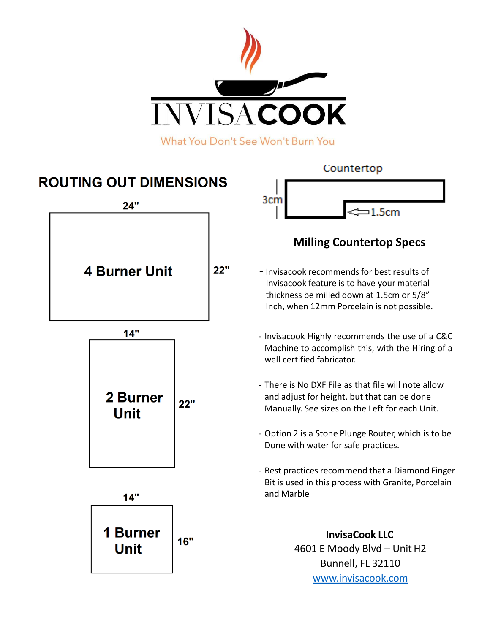

What You Don't See Won't Burn You

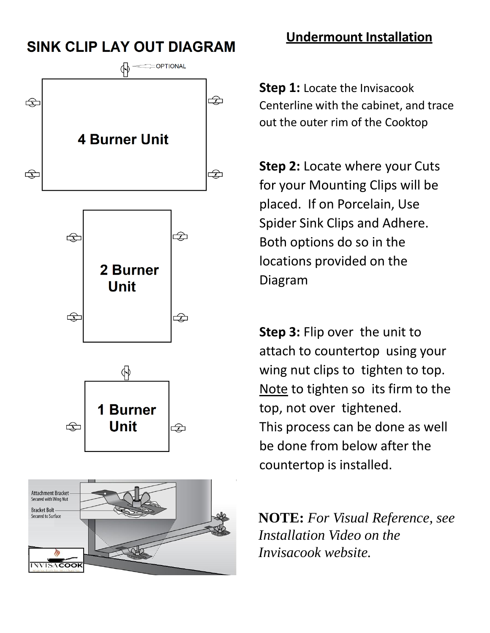# **SINK CLIP LAY OUT DIAGRAM**









### **Undermount Installation**

**Step 1: Locate the Invisacook** Centerline with the cabinet, and trace out the outer rim of the Cooktop

**Step 2:** Locate where your Cuts for your Mounting Clips will be placed. If on Porcelain, Use Spider Sink Clips and Adhere. Both options do so in the locations provided on the Diagram

**Step 3:** Flip over the unit to attach to countertop using your wing nut clips to tighten to top. Note to tighten so its firm to the top, not over tightened. This process can be done as well be done from below after the countertop is installed.

**NOTE:** *For Visual Reference, see Installation Video on the Invisacook website.*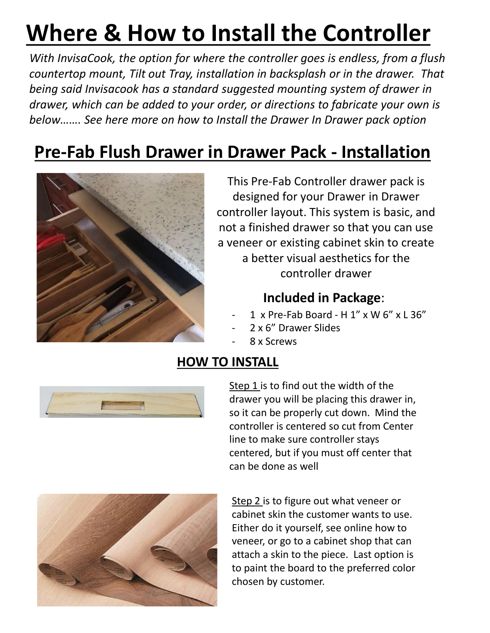# **Where & How to Install the Controller**

*With InvisaCook, the option for where the controller goes is endless, from a flush countertop mount, Tilt out Tray, installation in backsplash or in the drawer. That being said Invisacook has a standard suggested mounting system of drawer in drawer, which can be added to your order, or directions to fabricate your own is below……. See here more on how to Install the Drawer In Drawer pack option*

# **Pre-Fab Flush Drawer in Drawer Pack - Installation**



This Pre-Fab Controller drawer pack is designed for your Drawer in Drawer controller layout. This system is basic, and not a finished drawer so that you can use a veneer or existing cabinet skin to create a better visual aesthetics for the controller drawer

#### **Included in Package**:

- 1 x Pre-Fab Board H 1" x W 6" x L 36"
- 2 x 6" Drawer Slides
	- 8 x Screws

# **HOW TO INSTALL**



Step 1 is to find out the width of the drawer you will be placing this drawer in, so it can be properly cut down. Mind the controller is centered so cut from Center line to make sure controller stays centered, but if you must off center that can be done as well



Step 2 is to figure out what veneer or cabinet skin the customer wants to use. Either do it yourself, see online how to veneer, or go to a cabinet shop that can attach a skin to the piece. Last option is to paint the board to the preferred color chosen by customer.